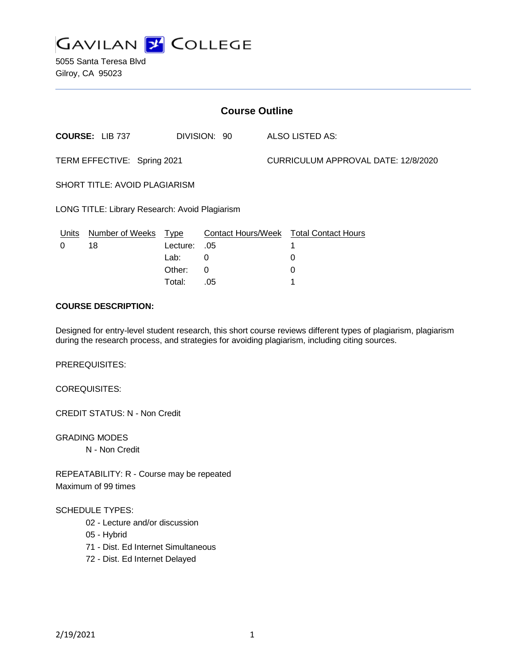

5055 Santa Teresa Blvd Gilroy, CA 95023

| <b>Course Outline</b>                          |                        |             |                 |                                     |                                        |
|------------------------------------------------|------------------------|-------------|-----------------|-------------------------------------|----------------------------------------|
| <b>COURSE: LIB 737</b><br>DIVISION: 90         |                        |             | ALSO LISTED AS: |                                     |                                        |
| TERM EFFECTIVE: Spring 2021                    |                        |             |                 | CURRICULUM APPROVAL DATE: 12/8/2020 |                                        |
| <b>SHORT TITLE: AVOID PLAGIARISM</b>           |                        |             |                 |                                     |                                        |
| LONG TITLE: Library Research: Avoid Plagiarism |                        |             |                 |                                     |                                        |
| Units                                          | <b>Number of Weeks</b> | <b>Type</b> |                 |                                     | Contact Hours/Week Total Contact Hours |
| 0                                              | 18                     | Lecture:    | .05             |                                     | 1                                      |
|                                                |                        | Lab:        | 0               |                                     | 0                                      |
|                                                |                        | Other:      | 0               |                                     | 0                                      |
|                                                |                        | Total:      | .05             |                                     |                                        |

# **COURSE DESCRIPTION:**

Designed for entry-level student research, this short course reviews different types of plagiarism, plagiarism during the research process, and strategies for avoiding plagiarism, including citing sources.

PREREQUISITES:

COREQUISITES:

CREDIT STATUS: N - Non Credit

GRADING MODES N - Non Credit

REPEATABILITY: R - Course may be repeated Maximum of 99 times

#### SCHEDULE TYPES:

- 02 Lecture and/or discussion
- 05 Hybrid
- 71 Dist. Ed Internet Simultaneous
- 72 Dist. Ed Internet Delayed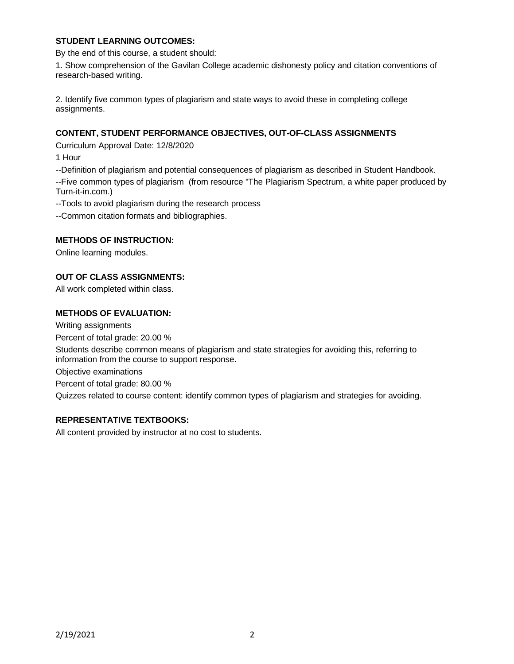# **STUDENT LEARNING OUTCOMES:**

By the end of this course, a student should:

1. Show comprehension of the Gavilan College academic dishonesty policy and citation conventions of research-based writing.

2. Identify five common types of plagiarism and state ways to avoid these in completing college assignments.

# **CONTENT, STUDENT PERFORMANCE OBJECTIVES, OUT-OF-CLASS ASSIGNMENTS**

Curriculum Approval Date: 12/8/2020

1 Hour

--Definition of plagiarism and potential consequences of plagiarism as described in Student Handbook.

--Five common types of plagiarism (from resource "The Plagiarism Spectrum, a white paper produced by Turn-it-in.com.)

--Tools to avoid plagiarism during the research process

--Common citation formats and bibliographies.

### **METHODS OF INSTRUCTION:**

Online learning modules.

### **OUT OF CLASS ASSIGNMENTS:**

All work completed within class.

### **METHODS OF EVALUATION:**

Writing assignments

Percent of total grade: 20.00 %

Students describe common means of plagiarism and state strategies for avoiding this, referring to information from the course to support response.

Objective examinations

Percent of total grade: 80.00 %

Quizzes related to course content: identify common types of plagiarism and strategies for avoiding.

### **REPRESENTATIVE TEXTBOOKS:**

All content provided by instructor at no cost to students.